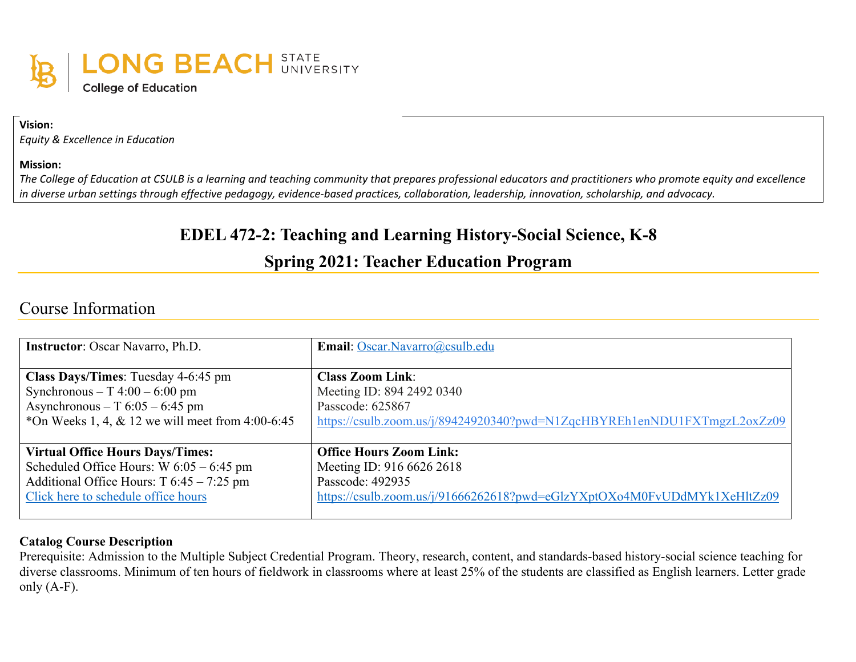

**Vision:**

*Equity & Excellence in Education*

**Mission:**

*The College of Education at CSULB is a learning and teaching community that prepares professional educators and practitioners who promote equity and excellence in diverse urban settings through effective pedagogy, evidence-based practices, collaboration, leadership, innovation, scholarship, and advocacy.*

# **EDEL 472-2: Teaching and Learning History-Social Science, K-8**

# **Spring 2021: Teacher Education Program**

## Course Information

| <b>Instructor:</b> Oscar Navarro, Ph.D.                | Email: Oscar.Navarro@csulb.edu                                           |
|--------------------------------------------------------|--------------------------------------------------------------------------|
| <b>Class Days/Times:</b> Tuesday 4-6:45 pm             | <b>Class Zoom Link:</b>                                                  |
| Synchronous – T $4:00 - 6:00$ pm                       | Meeting ID: 894 2492 0340                                                |
| Asynchronous – T $6:05 - 6:45$ pm                      | Passcode: 625867                                                         |
| $\ast$ On Weeks 1, 4, & 12 we will meet from 4:00-6:45 | https://csulb.zoom.us/j/89424920340?pwd=N1ZqcHBYREh1enNDU1FXTmgzL2oxZz09 |
|                                                        |                                                                          |
| <b>Virtual Office Hours Days/Times:</b>                | <b>Office Hours Zoom Link:</b>                                           |
| Scheduled Office Hours: $W$ 6:05 – 6:45 pm             | Meeting ID: 916 6626 2618                                                |
| Additional Office Hours: T 6:45 – 7:25 pm              | Passcode: 492935                                                         |
| Click here to schedule office hours                    | https://csulb.zoom.us/j/91666262618?pwd=eGlzYXptOXo4M0FvUDdMYk1XeHltZz09 |
|                                                        |                                                                          |

#### **Catalog Course Description**

Prerequisite: Admission to the Multiple Subject Credential Program. Theory, research, content, and standards-based history-social science teaching for diverse classrooms. Minimum of ten hours of fieldwork in classrooms where at least 25% of the students are classified as English learners. Letter grade only  $(A-F)$ .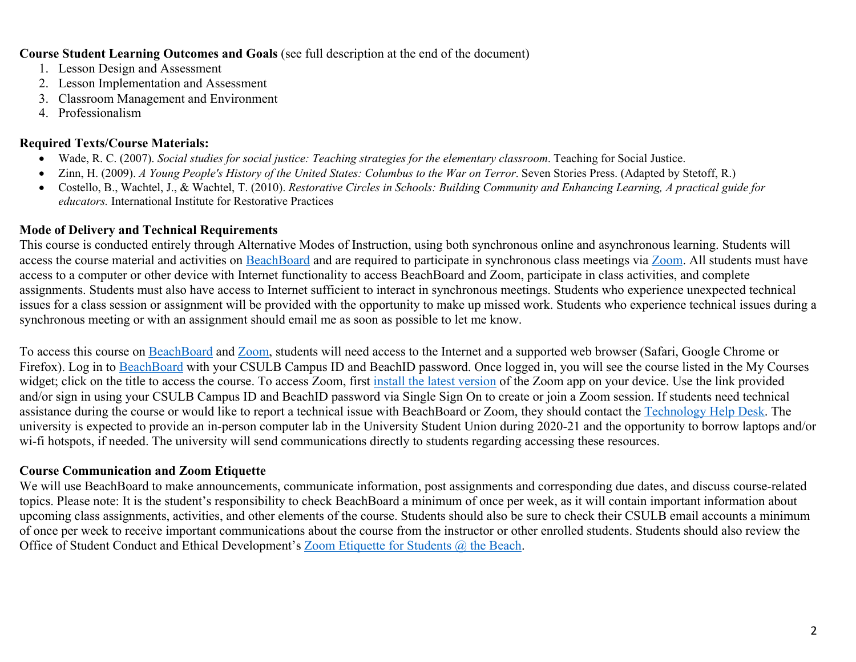#### **Course Student Learning Outcomes and Goals** (see full description at the end of the document)

- 1. Lesson Design and Assessment
- 2. Lesson Implementation and Assessment
- 3. Classroom Management and Environment
- 4. Professionalism

### **Required Texts/Course Materials:**

- Wade, R. C. (2007). *Social studies for social justice: Teaching strategies for the elementary classroom*. Teaching for Social Justice.
- Zinn, H. (2009). *A Young People's History of the United States: Columbus to the War on Terror*. Seven Stories Press. (Adapted by Stetoff, R.)
- Costello, B., Wachtel, J., & Wachtel, T. (2010). *Restorative Circles in Schools: Building Community and Enhancing Learning, A practical guide for educators.* International Institute for Restorative Practices

## **Mode of Delivery and Technical Requirements**

This course is conducted entirely through Alternative Modes of Instruction, using both synchronous online and asynchronous learning. Students will access the course material and activities on BeachBoard and are required to participate in synchronous class meetings via Zoom. All students must have access to a computer or other device with Internet functionality to access BeachBoard and Zoom, participate in class activities, and complete assignments. Students must also have access to Internet sufficient to interact in synchronous meetings. Students who experience unexpected technical issues for a class session or assignment will be provided with the opportunity to make up missed work. Students who experience technical issues during a synchronous meeting or with an assignment should email me as soon as possible to let me know.

To access this course on BeachBoard and Zoom, students will need access to the Internet and a supported web browser (Safari, Google Chrome or Firefox). Log in to BeachBoard with your CSULB Campus ID and BeachID password. Once logged in, you will see the course listed in the My Courses widget; click on the title to access the course. To access Zoom, first install the latest version of the Zoom app on your device. Use the link provided and/or sign in using your CSULB Campus ID and BeachID password via Single Sign On to create or join a Zoom session. If students need technical assistance during the course or would like to report a technical issue with BeachBoard or Zoom, they should contact the Technology Help Desk. The university is expected to provide an in-person computer lab in the University Student Union during 2020-21 and the opportunity to borrow laptops and/or wi-fi hotspots, if needed. The university will send communications directly to students regarding accessing these resources.

## **Course Communication and Zoom Etiquette**

We will use BeachBoard to make announcements, communicate information, post assignments and corresponding due dates, and discuss course-related topics. Please note: It is the student's responsibility to check BeachBoard a minimum of once per week, as it will contain important information about upcoming class assignments, activities, and other elements of the course. Students should also be sure to check their CSULB email accounts a minimum of once per week to receive important communications about the course from the instructor or other enrolled students. Students should also review the Office of Student Conduct and Ethical Development's Zoom Etiquette for Students @ the Beach.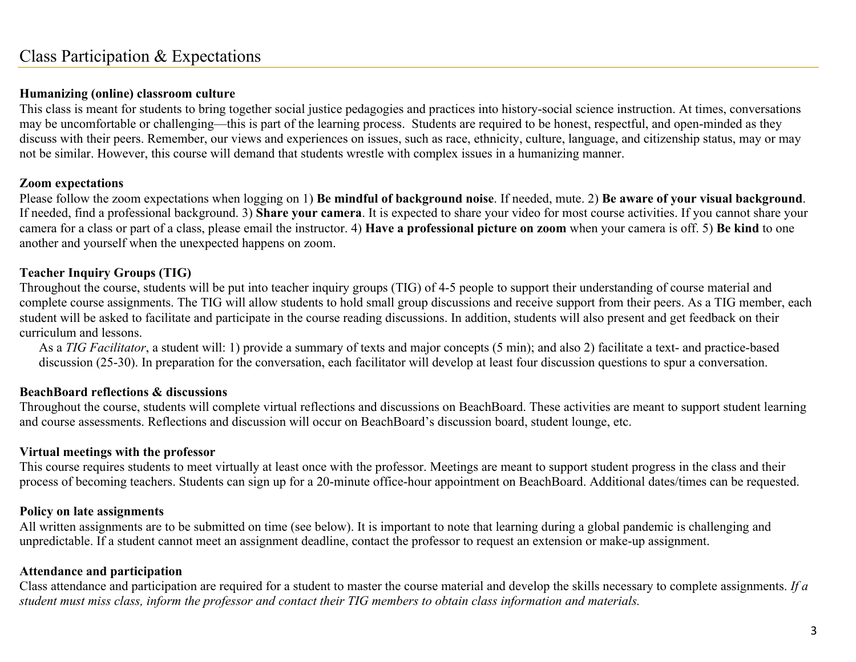## Class Participation & Expectations

### **Humanizing (online) classroom culture**

This class is meant for students to bring together social justice pedagogies and practices into history-social science instruction. At times, conversations may be uncomfortable or challenging—this is part of the learning process. Students are required to be honest, respectful, and open-minded as they discuss with their peers. Remember, our views and experiences on issues, such as race, ethnicity, culture, language, and citizenship status, may or may not be similar. However, this course will demand that students wrestle with complex issues in a humanizing manner.

#### **Zoom expectations**

Please follow the zoom expectations when logging on 1) **Be mindful of background noise**. If needed, mute. 2) **Be aware of your visual background**. If needed, find a professional background. 3) **Share your camera**. It is expected to share your video for most course activities. If you cannot share your camera for a class or part of a class, please email the instructor. 4) **Have a professional picture on zoom** when your camera is off. 5) **Be kind** to one another and yourself when the unexpected happens on zoom.

## **Teacher Inquiry Groups (TIG)**

Throughout the course, students will be put into teacher inquiry groups (TIG) of 4-5 people to support their understanding of course material and complete course assignments. The TIG will allow students to hold small group discussions and receive support from their peers. As a TIG member, each student will be asked to facilitate and participate in the course reading discussions. In addition, students will also present and get feedback on their curriculum and lessons.

As a *TIG Facilitator*, a student will: 1) provide a summary of texts and major concepts (5 min); and also 2) facilitate a text- and practice-based discussion (25-30). In preparation for the conversation, each facilitator will develop at least four discussion questions to spur a conversation.

#### **BeachBoard reflections & discussions**

Throughout the course, students will complete virtual reflections and discussions on BeachBoard. These activities are meant to support student learning and course assessments. Reflections and discussion will occur on BeachBoard's discussion board, student lounge, etc.

#### **Virtual meetings with the professor**

This course requires students to meet virtually at least once with the professor. Meetings are meant to support student progress in the class and their process of becoming teachers. Students can sign up for a 20-minute office-hour appointment on BeachBoard. Additional dates/times can be requested.

#### **Policy on late assignments**

All written assignments are to be submitted on time (see below). It is important to note that learning during a global pandemic is challenging and unpredictable. If a student cannot meet an assignment deadline, contact the professor to request an extension or make-up assignment.

## **Attendance and participation**

Class attendance and participation are required for a student to master the course material and develop the skills necessary to complete assignments. *If a student must miss class, inform the professor and contact their TIG members to obtain class information and materials.*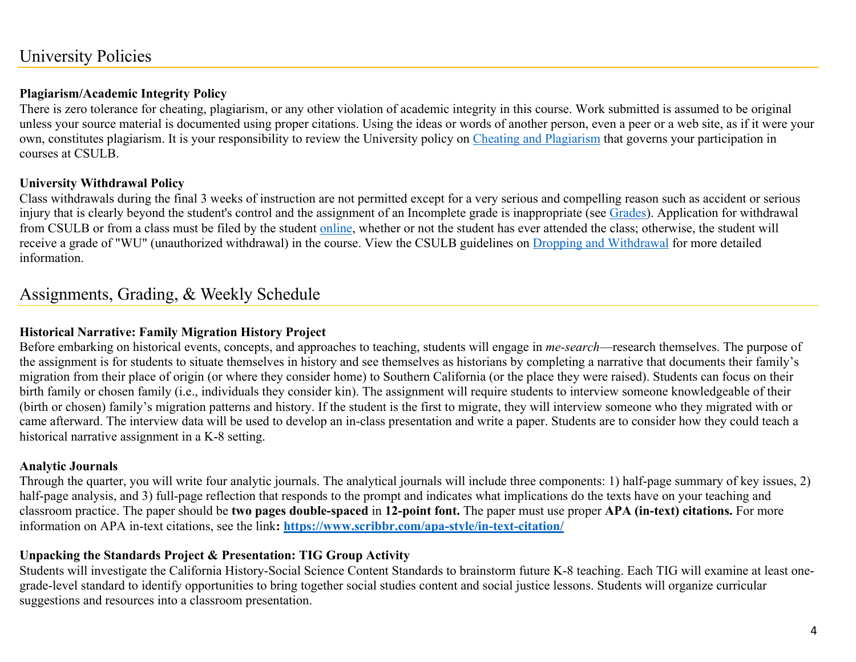# University Policies

## **Plagiarism/Academic Integrity Policy**

There is zero tolerance for cheating, plagiarism, or any other violation of academic integrity in this course. Work submitted is assumed to be original unless your source material is documented using proper citations. Using the ideas or words of another person, even a peer or a web site, as if it were your own, constitutes plagiarism. It is your responsibility to review the University policy on Cheating and Plagiarism that governs your participation in courses at CSULB.

## **University Withdrawal Policy**

Class withdrawals during the final 3 weeks of instruction are not permitted except for a very serious and compelling reason such as accident or serious injury that is clearly beyond the student's control and the assignment of an Incomplete grade is inappropriate (see Grades). Application for withdrawal from CSULB or from a class must be filed by the student online, whether or not the student has ever attended the class; otherwise, the student will receive a grade of "WU" (unauthorized withdrawal) in the course. View the CSULB guidelines on Dropping and Withdrawal for more detailed information.

## Assignments, Grading, & Weekly Schedule

## **Historical Narrative: Family Migration History Project**

Before embarking on historical events, concepts, and approaches to teaching, students will engage in *me-search*—research themselves. The purpose of the assignment is for students to situate themselves in history and see themselves as historians by completing a narrative that documents their family's migration from their place of origin (or where they consider home) to Southern California (or the place they were raised). Students can focus on their birth family or chosen family (i.e., individuals they consider kin). The assignment will require students to interview someone knowledgeable of their (birth or chosen) family's migration patterns and history. If the student is the first to migrate, they will interview someone who they migrated with or came afterward. The interview data will be used to develop an in-class presentation and write a paper. Students are to consider how they could teach a historical narrative assignment in a K-8 setting.

## **Analytic Journals**

Through the quarter, you will write four analytic journals. The analytical journals will include three components: 1) half-page summary of key issues, 2) half-page analysis, and 3) full-page reflection that responds to the prompt and indicates what implications do the texts have on your teaching and classroom practice. The paper should be **two pages double-spaced** in **12-point font.** The paper must use proper **APA (in-text) citations.** For more information on APA in-text citations, see the link**: https://www.scribbr.com/apa-style/in-text-citation/**

## **Unpacking the Standards Project & Presentation: TIG Group Activity**

Students will investigate the California History-Social Science Content Standards to brainstorm future K-8 teaching. Each TIG will examine at least onegrade-level standard to identify opportunities to bring together social studies content and social justice lessons. Students will organize curricular suggestions and resources into a classroom presentation.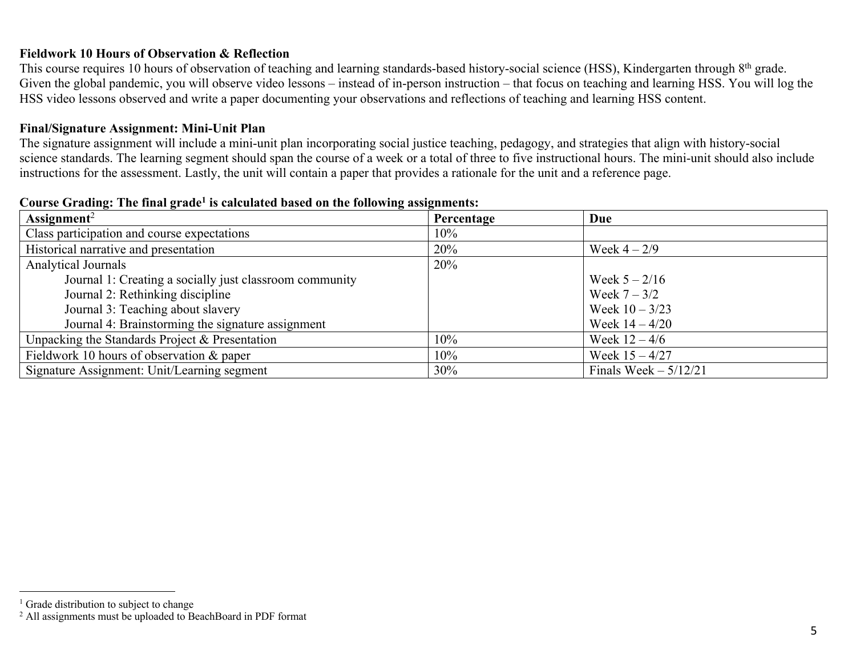## **Fieldwork 10 Hours of Observation & Reflection**

This course requires 10 hours of observation of teaching and learning standards-based history-social science (HSS), Kindergarten through 8<sup>th</sup> grade. Given the global pandemic, you will observe video lessons – instead of in-person instruction – that focus on teaching and learning HSS. You will log the HSS video lessons observed and write a paper documenting your observations and reflections of teaching and learning HSS content.

#### **Final/Signature Assignment: Mini-Unit Plan**

The signature assignment will include a mini-unit plan incorporating social justice teaching, pedagogy, and strategies that align with history-social science standards. The learning segment should span the course of a week or a total of three to five instructional hours. The mini-unit should also include instructions for the assessment. Lastly, the unit will contain a paper that provides a rationale for the unit and a reference page.

| Assignment <sup>2</sup>                                 | Percentage | Due                    |
|---------------------------------------------------------|------------|------------------------|
| Class participation and course expectations             | 10%        |                        |
| Historical narrative and presentation                   | 20%        | Week $4 - 2/9$         |
| Analytical Journals                                     | 20%        |                        |
| Journal 1: Creating a socially just classroom community |            | Week $5 - 2/16$        |
| Journal 2: Rethinking discipline                        |            | Week $7 - 3/2$         |
| Journal 3: Teaching about slavery                       |            | Week $10 - 3/23$       |
| Journal 4: Brainstorming the signature assignment       |            | Week $14 - 4/20$       |
| Unpacking the Standards Project & Presentation          | 10%        | Week $12 - 4/6$        |
| Fieldwork 10 hours of observation $&$ paper             | 10%        | Week $15 - 4/27$       |
| Signature Assignment: Unit/Learning segment             | 30%        | Finals Week $-5/12/21$ |

#### **Course Grading: The final grade1 is calculated based on the following assignments:**

<sup>&</sup>lt;sup>1</sup> Grade distribution to subject to change

<sup>2</sup> All assignments must be uploaded to BeachBoard in PDF format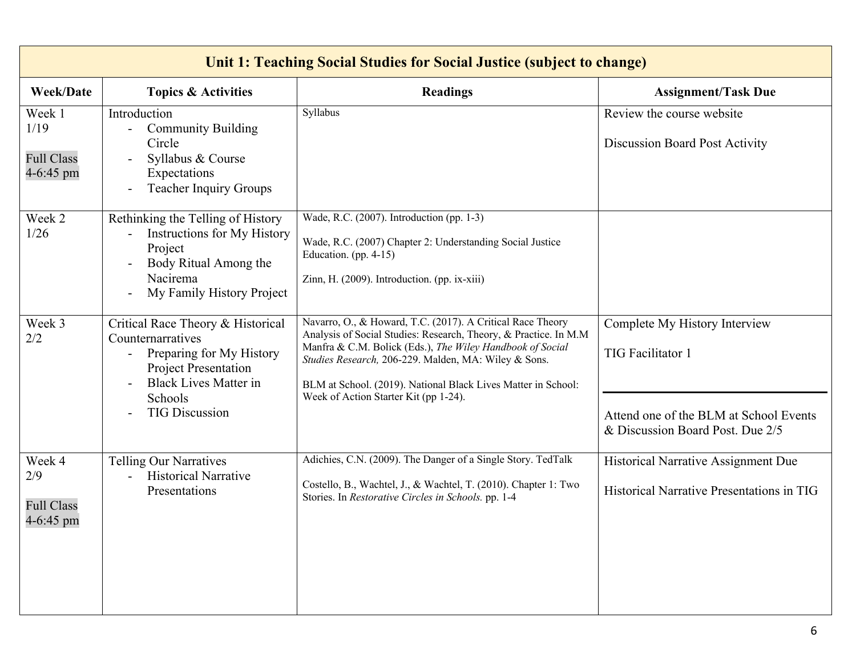| Unit 1: Teaching Social Studies for Social Justice (subject to change) |                                                                                                                                                                                                            |                                                                                                                                                                                                                                                                                                                                                                |                                                                                                                                         |
|------------------------------------------------------------------------|------------------------------------------------------------------------------------------------------------------------------------------------------------------------------------------------------------|----------------------------------------------------------------------------------------------------------------------------------------------------------------------------------------------------------------------------------------------------------------------------------------------------------------------------------------------------------------|-----------------------------------------------------------------------------------------------------------------------------------------|
| <b>Week/Date</b>                                                       | <b>Topics &amp; Activities</b>                                                                                                                                                                             | <b>Readings</b>                                                                                                                                                                                                                                                                                                                                                | <b>Assignment/Task Due</b>                                                                                                              |
| Week 1<br>1/19<br><b>Full Class</b><br>4-6:45 pm                       | Introduction<br><b>Community Building</b><br>Circle<br>Syllabus & Course<br>Expectations<br><b>Teacher Inquiry Groups</b>                                                                                  | Syllabus                                                                                                                                                                                                                                                                                                                                                       | Review the course website<br>Discussion Board Post Activity                                                                             |
| Week 2<br>1/26                                                         | Rethinking the Telling of History<br>Instructions for My History<br>Project<br>Body Ritual Among the<br>Nacirema<br>My Family History Project                                                              | Wade, R.C. (2007). Introduction (pp. 1-3)<br>Wade, R.C. (2007) Chapter 2: Understanding Social Justice<br>Education. (pp. 4-15)<br>Zinn, H. (2009). Introduction. (pp. ix-xiii)                                                                                                                                                                                |                                                                                                                                         |
| Week 3<br>2/2                                                          | Critical Race Theory & Historical<br>Counternarratives<br>Preparing for My History<br>$\overline{\phantom{a}}$<br>Project Presentation<br><b>Black Lives Matter in</b><br>Schools<br><b>TIG Discussion</b> | Navarro, O., & Howard, T.C. (2017). A Critical Race Theory<br>Analysis of Social Studies: Research, Theory, & Practice. In M.M.<br>Manfra & C.M. Bolick (Eds.), The Wiley Handbook of Social<br>Studies Research, 206-229. Malden, MA: Wiley & Sons.<br>BLM at School. (2019). National Black Lives Matter in School:<br>Week of Action Starter Kit (pp 1-24). | Complete My History Interview<br><b>TIG Facilitator 1</b><br>Attend one of the BLM at School Events<br>& Discussion Board Post. Due 2/5 |
| Week 4<br>2/9<br><b>Full Class</b><br>4-6:45 pm                        | <b>Telling Our Narratives</b><br><b>Historical Narrative</b><br>$\overline{\phantom{0}}$<br>Presentations                                                                                                  | Adichies, C.N. (2009). The Danger of a Single Story. TedTalk<br>Costello, B., Wachtel, J., & Wachtel, T. (2010). Chapter 1: Two<br>Stories. In Restorative Circles in Schools. pp. 1-4                                                                                                                                                                         | Historical Narrative Assignment Due<br>Historical Narrative Presentations in TIG                                                        |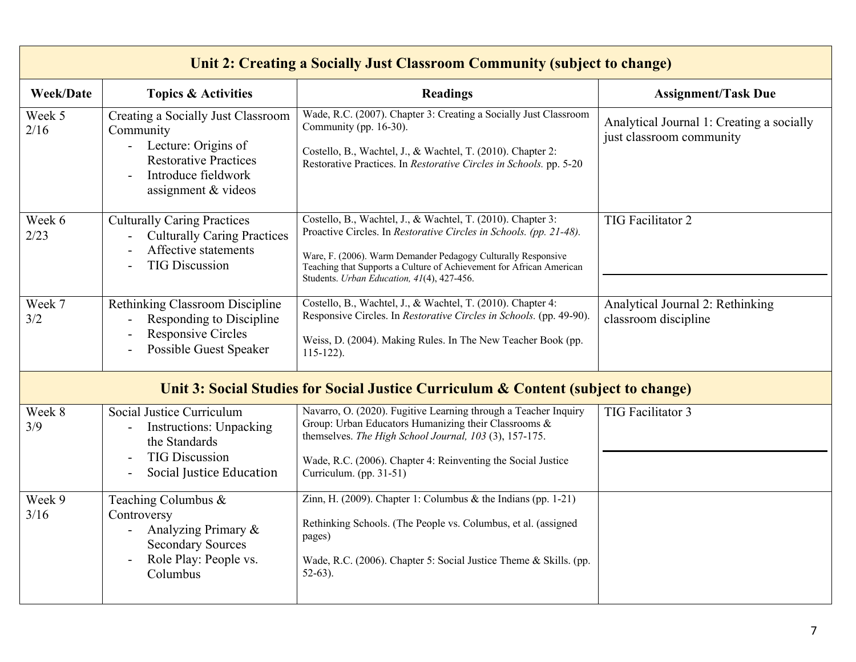| Unit 2: Creating a Socially Just Classroom Community (subject to change)           |                                                                                                                                                               |                                                                                                                                                                                                                                                                                                                          |                                                                       |
|------------------------------------------------------------------------------------|---------------------------------------------------------------------------------------------------------------------------------------------------------------|--------------------------------------------------------------------------------------------------------------------------------------------------------------------------------------------------------------------------------------------------------------------------------------------------------------------------|-----------------------------------------------------------------------|
| <b>Week/Date</b>                                                                   | <b>Topics &amp; Activities</b>                                                                                                                                | <b>Readings</b>                                                                                                                                                                                                                                                                                                          | <b>Assignment/Task Due</b>                                            |
| Week 5<br>2/16                                                                     | Creating a Socially Just Classroom<br>Community<br>- Lecture: Origins of<br><b>Restorative Practices</b><br>Introduce fieldwork<br>assignment & videos        | Wade, R.C. (2007). Chapter 3: Creating a Socially Just Classroom<br>Community (pp. 16-30).<br>Costello, B., Wachtel, J., & Wachtel, T. (2010). Chapter 2:<br>Restorative Practices. In Restorative Circles in Schools. pp. 5-20                                                                                          | Analytical Journal 1: Creating a socially<br>just classroom community |
| Week 6<br>2/23                                                                     | <b>Culturally Caring Practices</b><br><b>Culturally Caring Practices</b><br>Affective statements<br><b>TIG Discussion</b>                                     | Costello, B., Wachtel, J., & Wachtel, T. (2010). Chapter 3:<br>Proactive Circles. In Restorative Circles in Schools. (pp. 21-48).<br>Ware, F. (2006). Warm Demander Pedagogy Culturally Responsive<br>Teaching that Supports a Culture of Achievement for African American<br>Students. Urban Education, 41(4), 427-456. | TIG Facilitator 2                                                     |
| Week 7<br>3/2                                                                      | Rethinking Classroom Discipline<br>Responding to Discipline<br><b>Responsive Circles</b><br>Possible Guest Speaker                                            | Costello, B., Wachtel, J., & Wachtel, T. (2010). Chapter 4:<br>Responsive Circles. In Restorative Circles in Schools. (pp. 49-90).<br>Weiss, D. (2004). Making Rules. In The New Teacher Book (pp.<br>$115-122$ ).                                                                                                       | Analytical Journal 2: Rethinking<br>classroom discipline              |
| Unit 3: Social Studies for Social Justice Curriculum & Content (subject to change) |                                                                                                                                                               |                                                                                                                                                                                                                                                                                                                          |                                                                       |
| Week 8<br>3/9                                                                      | Social Justice Curriculum<br><b>Instructions: Unpacking</b><br>$\overline{\phantom{a}}$<br>the Standards<br><b>TIG Discussion</b><br>Social Justice Education | Navarro, O. (2020). Fugitive Learning through a Teacher Inquiry<br>Group: Urban Educators Humanizing their Classrooms &<br>themselves. The High School Journal, 103 (3), 157-175.<br>Wade, R.C. (2006). Chapter 4: Reinventing the Social Justice<br>Curriculum. (pp. 31-51)                                             | TIG Facilitator 3                                                     |
| Week 9<br>3/16                                                                     | Teaching Columbus &<br>Controversy<br>Analyzing Primary &<br><b>Secondary Sources</b><br>Role Play: People vs.<br>Columbus                                    | Zinn, H. (2009). Chapter 1: Columbus $\&$ the Indians (pp. 1-21)<br>Rethinking Schools. (The People vs. Columbus, et al. (assigned<br>pages)<br>Wade, R.C. (2006). Chapter 5: Social Justice Theme & Skills. (pp.<br>$52-63$ ).                                                                                          |                                                                       |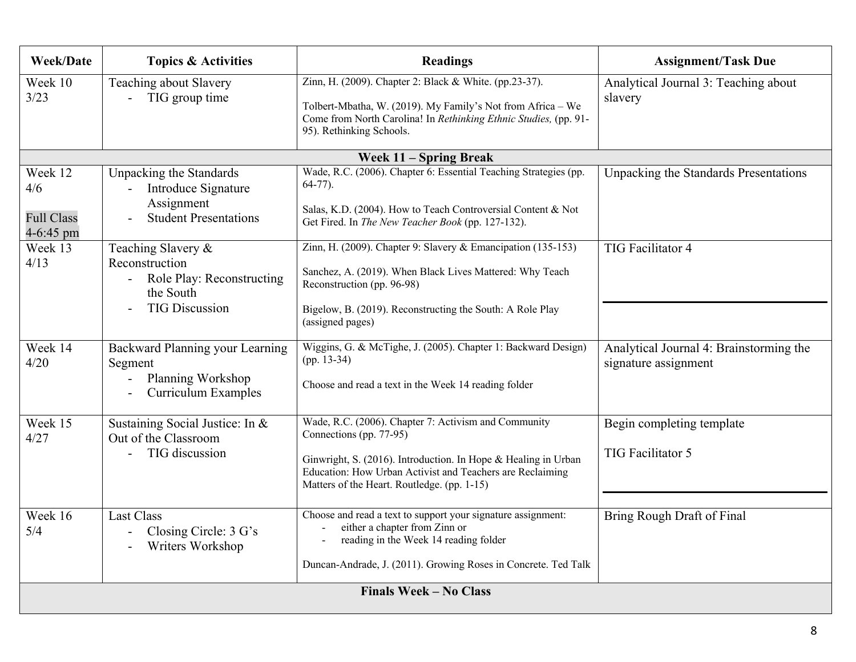| <b>Week/Date</b>                                 | <b>Topics &amp; Activities</b>                                                                          | <b>Readings</b>                                                                                                                                                                                                                                               | <b>Assignment/Task Due</b>                                      |
|--------------------------------------------------|---------------------------------------------------------------------------------------------------------|---------------------------------------------------------------------------------------------------------------------------------------------------------------------------------------------------------------------------------------------------------------|-----------------------------------------------------------------|
| Week 10<br>3/23                                  | Teaching about Slavery<br>TIG group time                                                                | Zinn, H. (2009). Chapter 2: Black & White. (pp.23-37).<br>Tolbert-Mbatha, W. (2019). My Family's Not from Africa - We<br>Come from North Carolina! In Rethinking Ethnic Studies, (pp. 91-<br>95). Rethinking Schools.                                         | Analytical Journal 3: Teaching about<br>slavery                 |
|                                                  |                                                                                                         | Week 11 - Spring Break                                                                                                                                                                                                                                        |                                                                 |
| Week 12<br>4/6<br><b>Full Class</b><br>4-6:45 pm | Unpacking the Standards<br>Introduce Signature<br>Assignment<br><b>Student Presentations</b>            | Wade, R.C. (2006). Chapter 6: Essential Teaching Strategies (pp.<br>$64-77$ ).<br>Salas, K.D. (2004). How to Teach Controversial Content & Not<br>Get Fired. In The New Teacher Book (pp. 127-132).                                                           | Unpacking the Standards Presentations                           |
| Week 13<br>4/13                                  | Teaching Slavery &<br>Reconstruction<br>Role Play: Reconstructing<br>the South<br><b>TIG Discussion</b> | Zinn, H. (2009). Chapter 9: Slavery & Emancipation (135-153)<br>Sanchez, A. (2019). When Black Lives Mattered: Why Teach<br>Reconstruction (pp. 96-98)<br>Bigelow, B. (2019). Reconstructing the South: A Role Play<br>(assigned pages)                       | <b>TIG Facilitator 4</b>                                        |
| Week 14<br>4/20                                  | Backward Planning your Learning<br>Segment<br>Planning Workshop<br>Curriculum Examples                  | Wiggins, G. & McTighe, J. (2005). Chapter 1: Backward Design)<br>$(pp. 13-34)$<br>Choose and read a text in the Week 14 reading folder                                                                                                                        | Analytical Journal 4: Brainstorming the<br>signature assignment |
| Week $15$<br>4/27                                | Sustaining Social Justice: In &<br>Out of the Classroom<br>TIG discussion                               | Wade, R.C. (2006). Chapter 7: Activism and Community<br>Connections (pp. 77-95)<br>Ginwright, S. (2016). Introduction. In Hope & Healing in Urban<br>Education: How Urban Activist and Teachers are Reclaiming<br>Matters of the Heart. Routledge. (pp. 1-15) | Begin completing template<br>TIG Facilitator 5                  |
| Week 16<br>5/4                                   | <b>Last Class</b><br>Closing Circle: 3 G's<br>Writers Workshop                                          | Choose and read a text to support your signature assignment:<br>either a chapter from Zinn or<br>reading in the Week 14 reading folder<br>Duncan-Andrade, J. (2011). Growing Roses in Concrete. Ted Talk                                                      | Bring Rough Draft of Final                                      |
| <b>Finals Week - No Class</b>                    |                                                                                                         |                                                                                                                                                                                                                                                               |                                                                 |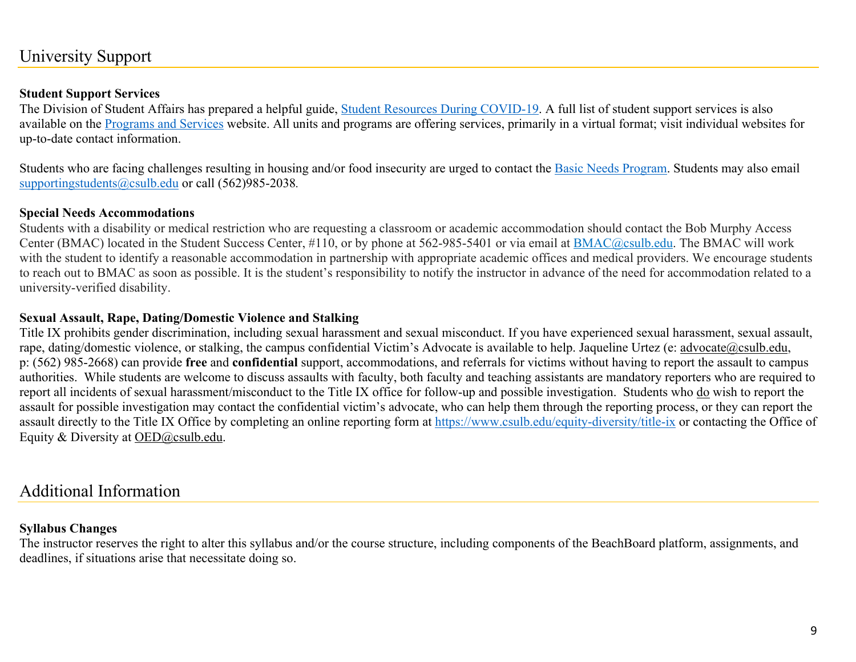# University Support

#### **Student Support Services**

The Division of Student Affairs has prepared a helpful guide, Student Resources During COVID-19. A full list of student support services is also available on the Programs and Services website. All units and programs are offering services, primarily in a virtual format; visit individual websites for up-to-date contact information.

Students who are facing challenges resulting in housing and/or food insecurity are urged to contact the Basic Needs Program. Students may also email supportingstudents@csulb.edu or call (562)985-2038*.*

#### **Special Needs Accommodations**

Students with a disability or medical restriction who are requesting a classroom or academic accommodation should contact the Bob Murphy Access Center (BMAC) located in the Student Success Center, #110, or by phone at 562-985-5401 or via email at BMAC@csulb.edu. The BMAC will work with the student to identify a reasonable accommodation in partnership with appropriate academic offices and medical providers. We encourage students to reach out to BMAC as soon as possible. It is the student's responsibility to notify the instructor in advance of the need for accommodation related to a university-verified disability.

#### **Sexual Assault, Rape, Dating/Domestic Violence and Stalking**

Title IX prohibits gender discrimination, including sexual harassment and sexual misconduct. If you have experienced sexual harassment, sexual assault, rape, dating/domestic violence, or stalking, the campus confidential Victim's Advocate is available to help. Jaqueline Urtez (e: advocate@csulb.edu, p: (562) 985-2668) can provide **free** and **confidential** support, accommodations, and referrals for victims without having to report the assault to campus authorities. While students are welcome to discuss assaults with faculty, both faculty and teaching assistants are mandatory reporters who are required to report all incidents of sexual harassment/misconduct to the Title IX office for follow-up and possible investigation. Students who do wish to report the assault for possible investigation may contact the confidential victim's advocate, who can help them through the reporting process, or they can report the assault directly to the Title IX Office by completing an online reporting form at https://www.csulb.edu/equity-diversity/title-ix or contacting the Office of Equity & Diversity at OED@csulb.edu.

## Additional Information

#### **Syllabus Changes**

The instructor reserves the right to alter this syllabus and/or the course structure, including components of the BeachBoard platform, assignments, and deadlines, if situations arise that necessitate doing so.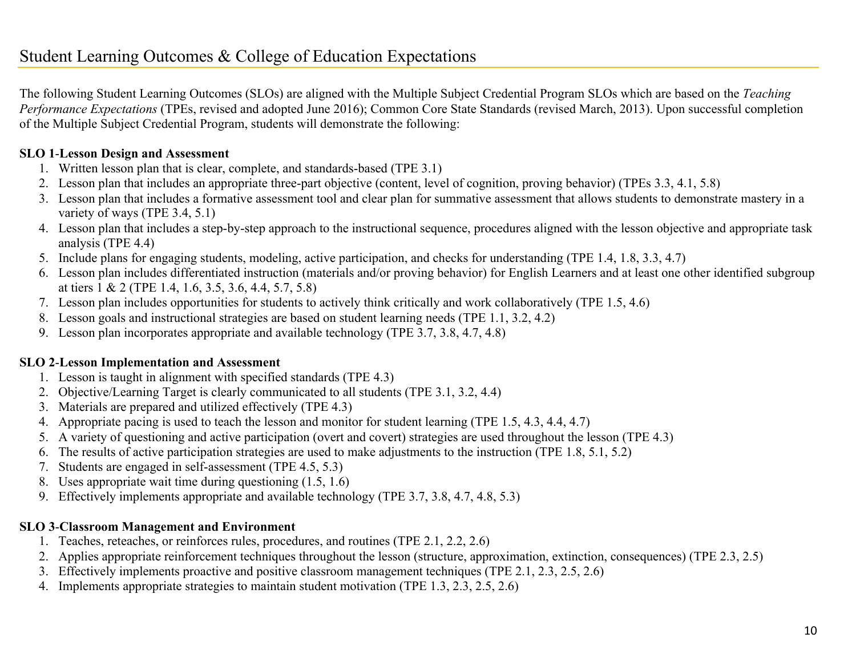The following Student Learning Outcomes (SLOs) are aligned with the Multiple Subject Credential Program SLOs which are based on the *Teaching Performance Expectations* (TPEs, revised and adopted June 2016); Common Core State Standards (revised March, 2013). Upon successful completion of the Multiple Subject Credential Program, students will demonstrate the following:

## **SLO 1**-**Lesson Design and Assessment**

- 1. Written lesson plan that is clear, complete, and standards-based (TPE 3.1)
- 2. Lesson plan that includes an appropriate three-part objective (content, level of cognition, proving behavior) (TPEs 3.3, 4.1, 5.8)
- 3. Lesson plan that includes a formative assessment tool and clear plan for summative assessment that allows students to demonstrate mastery in a variety of ways (TPE 3.4, 5.1)
- 4. Lesson plan that includes a step-by-step approach to the instructional sequence, procedures aligned with the lesson objective and appropriate task analysis (TPE 4.4)
- 5. Include plans for engaging students, modeling, active participation, and checks for understanding (TPE 1.4, 1.8, 3.3, 4.7)
- 6. Lesson plan includes differentiated instruction (materials and/or proving behavior) for English Learners and at least one other identified subgroup at tiers 1 & 2 (TPE 1.4, 1.6, 3.5, 3.6, 4.4, 5.7, 5.8)
- 7. Lesson plan includes opportunities for students to actively think critically and work collaboratively (TPE 1.5, 4.6)
- 8. Lesson goals and instructional strategies are based on student learning needs (TPE 1.1, 3.2, 4.2)
- 9. Lesson plan incorporates appropriate and available technology (TPE 3.7, 3.8, 4.7, 4.8)

## **SLO 2**-**Lesson Implementation and Assessment**

- 1. Lesson is taught in alignment with specified standards (TPE 4.3)
- 2. Objective/Learning Target is clearly communicated to all students (TPE 3.1, 3.2, 4.4)
- 3. Materials are prepared and utilized effectively (TPE 4.3)
- 4. Appropriate pacing is used to teach the lesson and monitor for student learning (TPE 1.5, 4.3, 4.4, 4.7)
- 5. A variety of questioning and active participation (overt and covert) strategies are used throughout the lesson (TPE 4.3)
- 6. The results of active participation strategies are used to make adjustments to the instruction (TPE 1.8, 5.1, 5.2)
- 7. Students are engaged in self-assessment (TPE 4.5, 5.3)
- 8. Uses appropriate wait time during questioning (1.5, 1.6)
- 9. Effectively implements appropriate and available technology (TPE 3.7, 3.8, 4.7, 4.8, 5.3)

## **SLO 3**-**Classroom Management and Environment**

- 1. Teaches, reteaches, or reinforces rules, procedures, and routines (TPE 2.1, 2.2, 2.6)
- 2. Applies appropriate reinforcement techniques throughout the lesson (structure, approximation, extinction, consequences) (TPE 2.3, 2.5)
- 3. Effectively implements proactive and positive classroom management techniques (TPE 2.1, 2.3, 2.5, 2.6)
- 4. Implements appropriate strategies to maintain student motivation (TPE 1.3, 2.3, 2.5, 2.6)